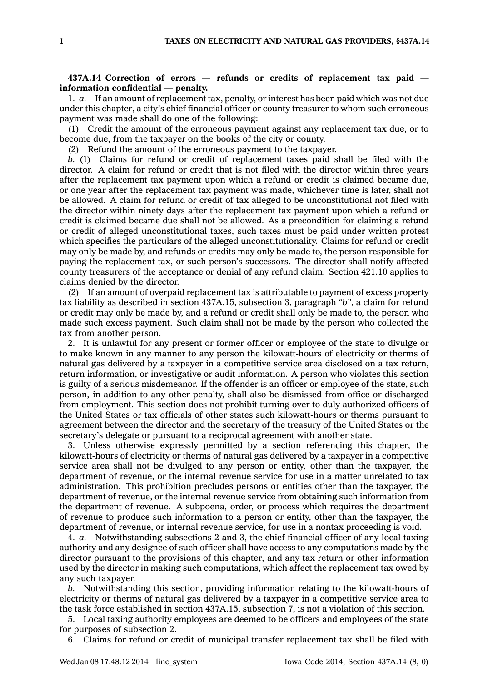## **437A.14 Correction of errors — refunds or credits of replacement tax paid information** confidential — penalty.

1. *a.* If an amount of replacement tax, penalty, or interest has been paid which was not due under this chapter, <sup>a</sup> city's chief financial officer or county treasurer to whom such erroneous payment was made shall do one of the following:

(1) Credit the amount of the erroneous payment against any replacement tax due, or to become due, from the taxpayer on the books of the city or county.

(2) Refund the amount of the erroneous payment to the taxpayer.

*b.* (1) Claims for refund or credit of replacement taxes paid shall be filed with the director. A claim for refund or credit that is not filed with the director within three years after the replacement tax payment upon which <sup>a</sup> refund or credit is claimed became due, or one year after the replacement tax payment was made, whichever time is later, shall not be allowed. A claim for refund or credit of tax alleged to be unconstitutional not filed with the director within ninety days after the replacement tax payment upon which <sup>a</sup> refund or credit is claimed became due shall not be allowed. As <sup>a</sup> precondition for claiming <sup>a</sup> refund or credit of alleged unconstitutional taxes, such taxes must be paid under written protest which specifies the particulars of the alleged unconstitutionality. Claims for refund or credit may only be made by, and refunds or credits may only be made to, the person responsible for paying the replacement tax, or such person's successors. The director shall notify affected county treasurers of the acceptance or denial of any refund claim. Section 421.10 applies to claims denied by the director.

(2) If an amount of overpaid replacement tax is attributable to payment of excess property tax liability as described in section 437A.15, subsection 3, paragraph *"b"*, <sup>a</sup> claim for refund or credit may only be made by, and <sup>a</sup> refund or credit shall only be made to, the person who made such excess payment. Such claim shall not be made by the person who collected the tax from another person.

2. It is unlawful for any present or former officer or employee of the state to divulge or to make known in any manner to any person the kilowatt-hours of electricity or therms of natural gas delivered by <sup>a</sup> taxpayer in <sup>a</sup> competitive service area disclosed on <sup>a</sup> tax return, return information, or investigative or audit information. A person who violates this section is guilty of <sup>a</sup> serious misdemeanor. If the offender is an officer or employee of the state, such person, in addition to any other penalty, shall also be dismissed from office or discharged from employment. This section does not prohibit turning over to duly authorized officers of the United States or tax officials of other states such kilowatt-hours or therms pursuant to agreement between the director and the secretary of the treasury of the United States or the secretary's delegate or pursuant to <sup>a</sup> reciprocal agreement with another state.

3. Unless otherwise expressly permitted by <sup>a</sup> section referencing this chapter, the kilowatt-hours of electricity or therms of natural gas delivered by <sup>a</sup> taxpayer in <sup>a</sup> competitive service area shall not be divulged to any person or entity, other than the taxpayer, the department of revenue, or the internal revenue service for use in <sup>a</sup> matter unrelated to tax administration. This prohibition precludes persons or entities other than the taxpayer, the department of revenue, or the internal revenue service from obtaining such information from the department of revenue. A subpoena, order, or process which requires the department of revenue to produce such information to <sup>a</sup> person or entity, other than the taxpayer, the department of revenue, or internal revenue service, for use in <sup>a</sup> nontax proceeding is void.

4. *a.* Notwithstanding subsections 2 and 3, the chief financial officer of any local taxing authority and any designee of such officer shall have access to any computations made by the director pursuant to the provisions of this chapter, and any tax return or other information used by the director in making such computations, which affect the replacement tax owed by any such taxpayer.

*b.* Notwithstanding this section, providing information relating to the kilowatt-hours of electricity or therms of natural gas delivered by <sup>a</sup> taxpayer in <sup>a</sup> competitive service area to the task force established in section 437A.15, subsection 7, is not <sup>a</sup> violation of this section.

5. Local taxing authority employees are deemed to be officers and employees of the state for purposes of subsection 2.

6. Claims for refund or credit of municipal transfer replacement tax shall be filed with